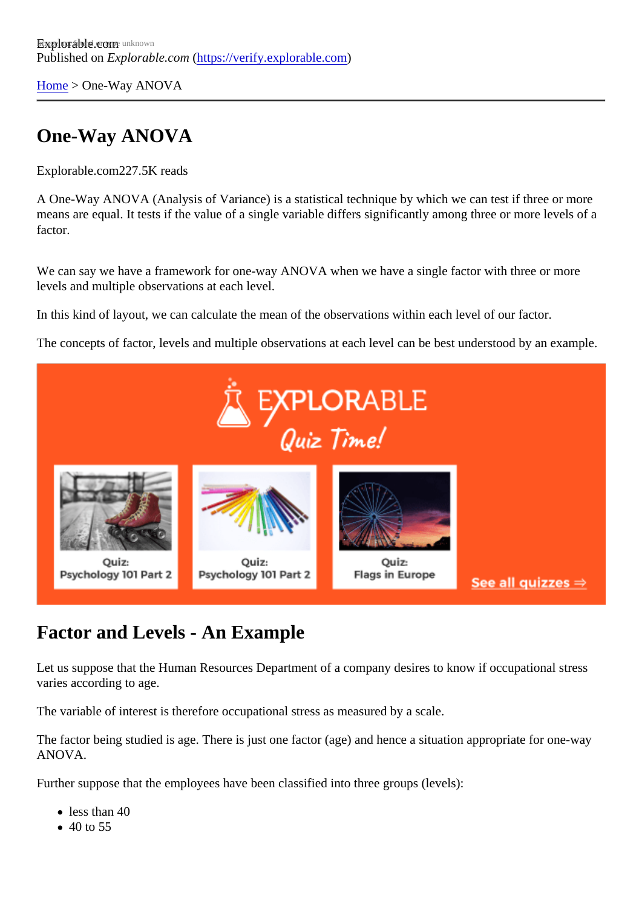[Home](https://verify.explorable.com/)> One-Way ANOVA

# One-Way ANOVA

Explorable.com227.5K reads

A One-Way ANOVA (Analysis of Variance) is a statistical technique by which we can test if three or more means are equal. It tests if the value of a single variable differs significantly among three or more levels of factor.

We can say we have a framework for one-way ANOVA when we have a single factor with three or more levels and multiple observations at each level.

In this kind of layout, we can calculate the mean of the observations within each level of our factor.

The concepts of factor, levels and multiple observations at each level can be best understood by an exam

#### Factor and Levels - An Example

Let us suppose that the Human Resources Department of a company desires to know if occupational stres varies according to age.

The variable of interest is therefore occupational stress as measured by a scale.

The factor being studied is age. There is just one factor (age) and hence a situation appropriate for one-way ANOVA.

Further suppose that the employees have been classified into three groups (levels):

- less than 40
- 40 to 55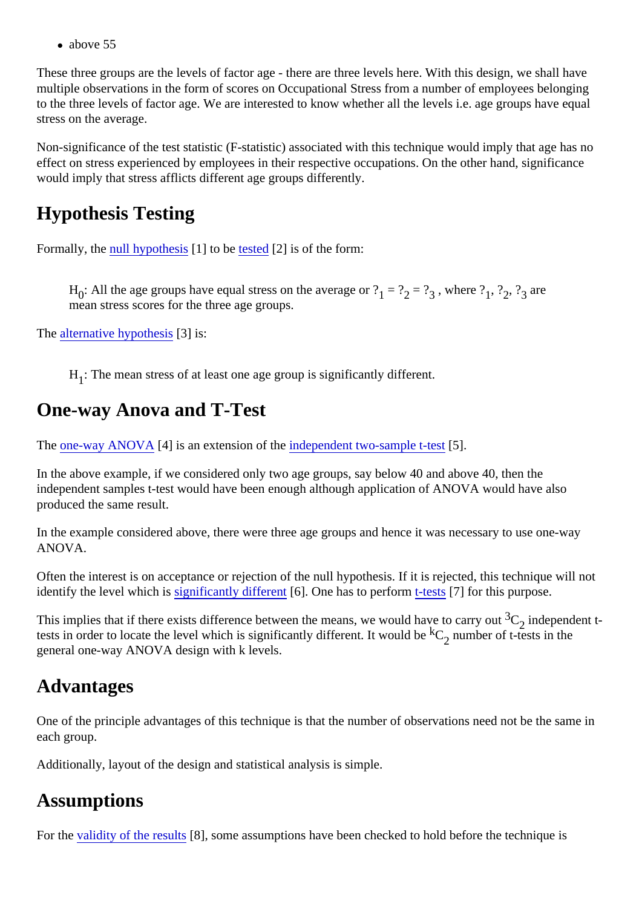• above 55

These three groups are the levels of factor age - there are three levels here. With this design, we shall have multiple observations in the form of scores on Occupational Stress from a number of employees belonging to the three levels of factor age. We are interested to know whether all the levels i.e. age groups have equal stress on the average.

Non-significance of the test statistic (F-statistic) associated with this technique would imply that age has no effect on stress experienced by employees in their respective occupations. On the other hand, significance would imply that stress afflicts different age groups differently.

## Hypothesis Testing

Formally, th[e null hypothesi](https://verify.explorable.com/null-hypothesis)s<sup>[1]</sup> to b[e tested](https://verify.explorable.com/hypothesis-testing)<sup>[2]</sup> is of the form:

H<sub>0</sub>: All the age groups have equal stress on the average or<sub>2</sub> ≥  $?_3$ , where  $\frac{2}{3}$ ,  $?_2$ ,  $?_3$  are mean stress scores for the three age groups.

The [alternative hypothes](https://verify.explorable.com/research-hypothesis)<sup>[3]</sup> is:

 $H_{1}$ : The mean stress of at least one age group is significantly different.

### One-way Anova and T-Test

The [one-way ANOVA](http://www4.uwsp.edu/psych/stat/12/anova-1w.htm)[4] is an extension of the dependent two-sample t-test.

In the above example, if we considered only two age groups, say below 40 and above 40, then the independent samples t-test would have been enough although application of ANOVA would have also produced the same result.

In the example considered above, there were three age groups and hence it was necessary to use one-way ANOVA.

Often the interest is on acceptance or rejection of the null hypothesis. If it is rejected, this technique will no identify the level which is ignificantly different 6. One has to perform tests [7] for this purpose.

This implies that if there exists difference between the means, we would have to ca $\mathbf{G}_{\mathbf{Z}}$  independent ttests in order to locate the level which is significantly different. It would be number of t-tests in the general one-way ANOVA design with k levels.

### Advantages

One of the principle advantages of this technique is that the number of observations need not be the same each group.

Additionally, layout of the design and statistical analysis is simple.

### **Assumptions**

For th[e validity of the result](https://verify.explorable.com/internal-validity) \$8], some assumptions have been checked to hold before the technique is